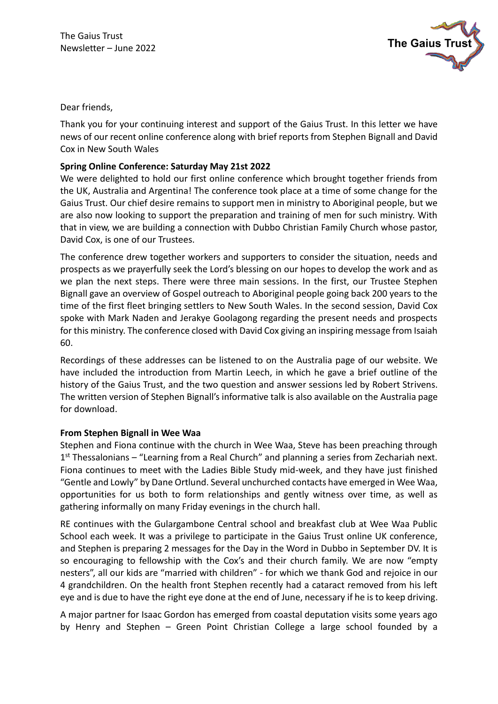

Dear friends,

Thank you for your continuing interest and support of the Gaius Trust. In this letter we have news of our recent online conference along with brief reports from Stephen Bignall and David Cox in New South Wales

## **Spring Online Conference: Saturday May 21st 2022**

We were delighted to hold our first online conference which brought together friends from the UK, Australia and Argentina! The conference took place at a time of some change for the Gaius Trust. Our chief desire remains to support men in ministry to Aboriginal people, but we are also now looking to support the preparation and training of men for such ministry. With that in view, we are building a connection with Dubbo Christian Family Church whose pastor, David Cox, is one of our Trustees.

The conference drew together workers and supporters to consider the situation, needs and prospects as we prayerfully seek the Lord's blessing on our hopes to develop the work and as we plan the next steps. There were three main sessions. In the first, our Trustee Stephen Bignall gave an overview of Gospel outreach to Aboriginal people going back 200 years to the time of the first fleet bringing settlers to New South Wales. In the second session, David Cox spoke with Mark Naden and Jerakye Goolagong regarding the present needs and prospects for this ministry. The conference closed with David Cox giving an inspiring message from Isaiah 60.

Recordings of these addresses can be listened to on the Australia page of our website. We have included the introduction from Martin Leech, in which he gave a brief outline of the history of the Gaius Trust, and the two question and answer sessions led by Robert Strivens. The written version of Stephen Bignall's informative talk is also available on the Australia page for download.

## **From Stephen Bignall in Wee Waa**

Stephen and Fiona continue with the church in Wee Waa, Steve has been preaching through 1<sup>st</sup> Thessalonians - "Learning from a Real Church" and planning a series from Zechariah next. Fiona continues to meet with the Ladies Bible Study mid-week, and they have just finished "Gentle and Lowly" by Dane Ortlund. Several unchurched contacts have emerged in Wee Waa, opportunities for us both to form relationships and gently witness over time, as well as gathering informally on many Friday evenings in the church hall.

RE continues with the Gulargambone Central school and breakfast club at Wee Waa Public School each week. It was a privilege to participate in the Gaius Trust online UK conference, and Stephen is preparing 2 messages for the Day in the Word in Dubbo in September DV. It is so encouraging to fellowship with the Cox's and their church family. We are now "empty nesters", all our kids are "married with children" - for which we thank God and rejoice in our 4 grandchildren. On the health front Stephen recently had a cataract removed from his left eye and is due to have the right eye done at the end of June, necessary if he is to keep driving.

A major partner for Isaac Gordon has emerged from coastal deputation visits some years ago by Henry and Stephen – Green Point Christian College a large school founded by a